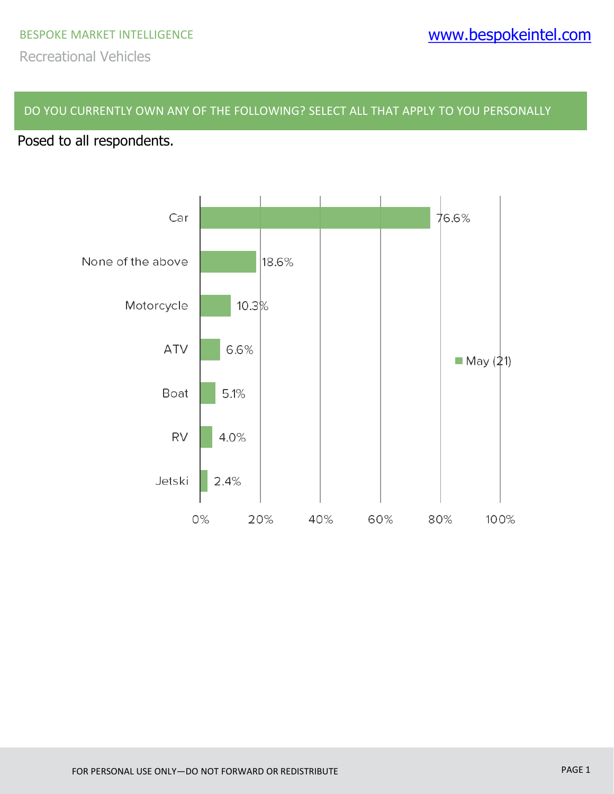#### DO YOU CURRENTLY OWN ANY OF THE FOLLOWING? SELECT ALL THAT APPLY TO YOU PERSONALLY

# Posed to all respondents.

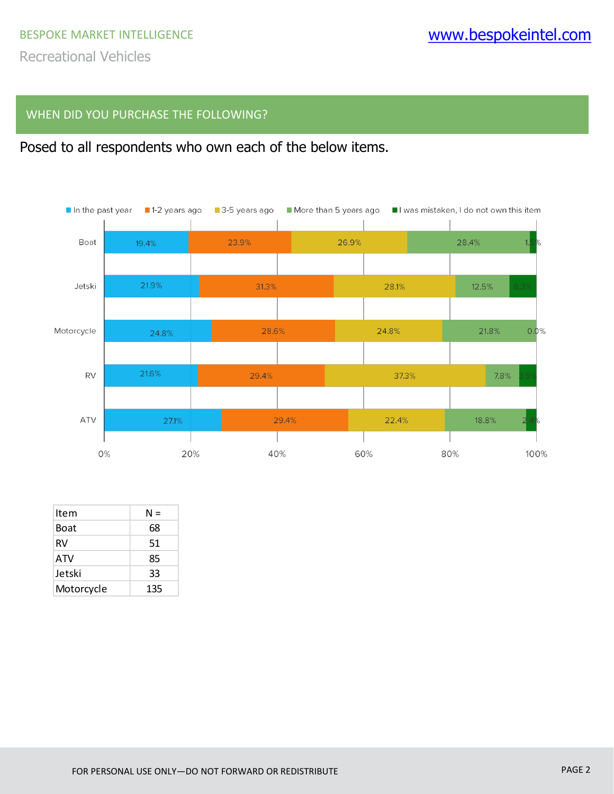#### WHEN DID YOU PURCHASE THE FOLLOWING?





| Item       | N = |
|------------|-----|
| Boat       | 68  |
| RV         | 51  |
| ATV        | 85  |
| Jetski     | 33  |
| Motorcycle | 135 |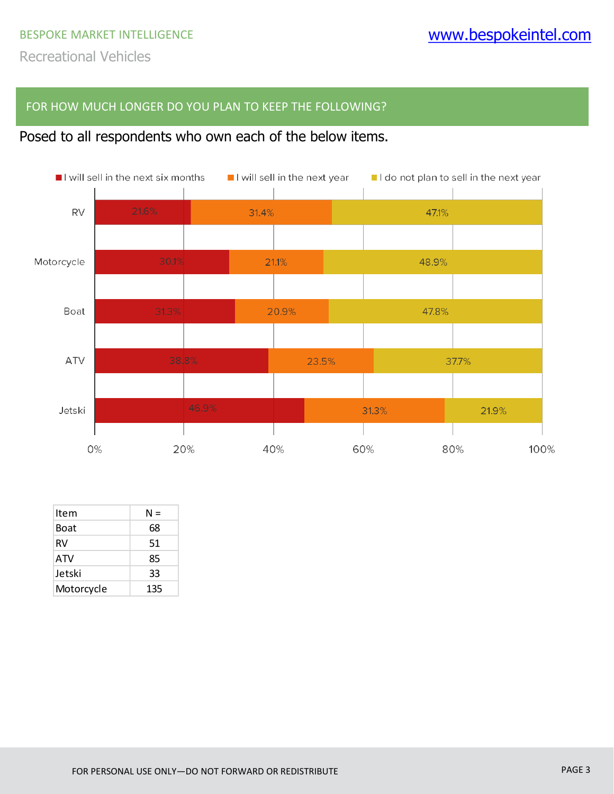### FOR HOW MUCH LONGER DO YOU PLAN TO KEEP THE FOLLOWING?

# Posed to all respondents who own each of the below items.



| Item        | N = |
|-------------|-----|
| <b>Boat</b> | 68  |
| RV          | 51  |
| <b>ATV</b>  | 85  |
| Jetski      | 33  |
| Motorcycle  | 135 |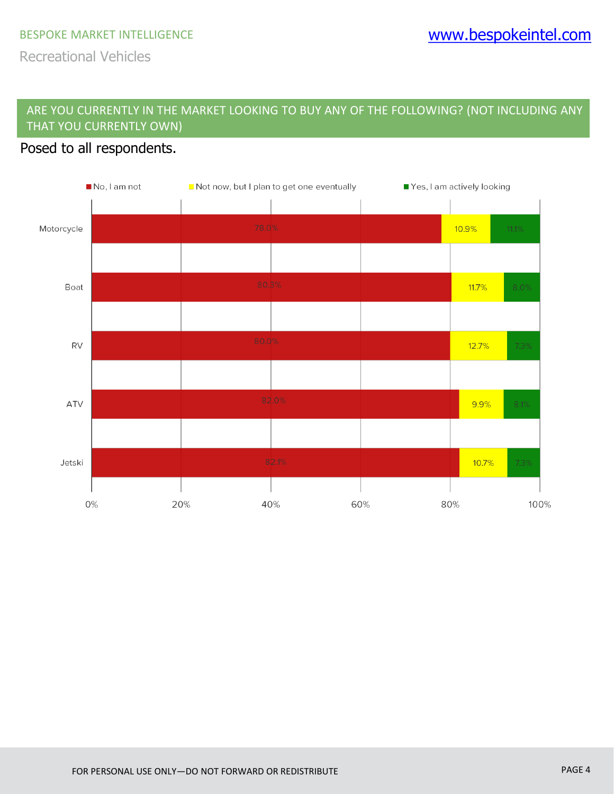Recreational Vehicles

## ARE YOU CURRENTLY IN THE MARKET LOOKING TO BUY ANY OF THE FOLLOWING? (NOT INCLUDING ANY THAT YOU CURRENTLY OWN)

## Posed to all respondents.